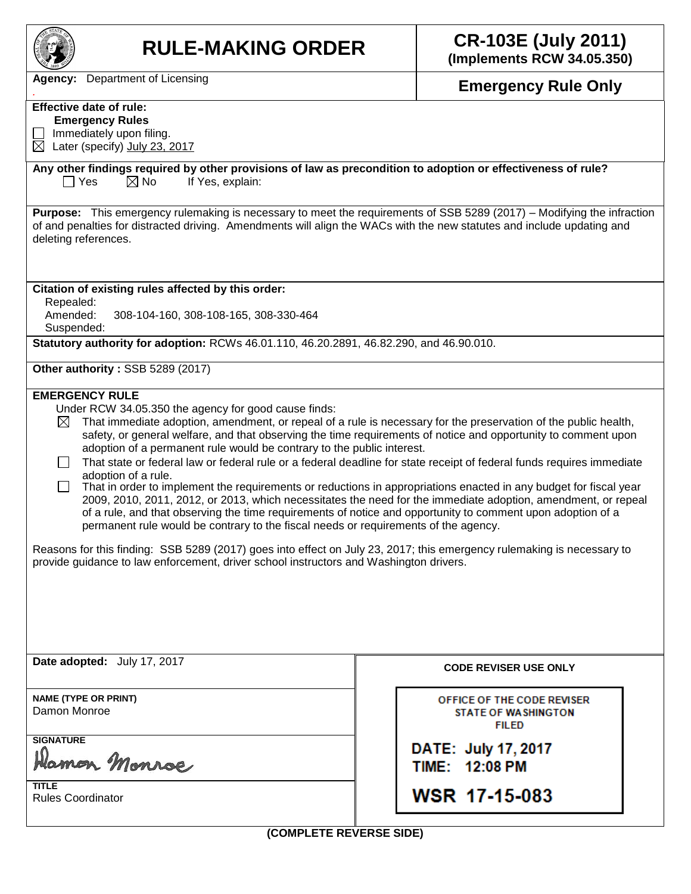| <b>RULE-MAKING ORDER</b>                                                                                                                                                                                                                                                                                                                                                                                                                                                                                                                                                                                                                                                                                                                                                                                                                                                                                                                                                                                                                                                                                                                                                                                                    | <b>CR-103E (July 2011)</b><br>(Implements RCW 34.05.350)                 |  |  |  |  |  |
|-----------------------------------------------------------------------------------------------------------------------------------------------------------------------------------------------------------------------------------------------------------------------------------------------------------------------------------------------------------------------------------------------------------------------------------------------------------------------------------------------------------------------------------------------------------------------------------------------------------------------------------------------------------------------------------------------------------------------------------------------------------------------------------------------------------------------------------------------------------------------------------------------------------------------------------------------------------------------------------------------------------------------------------------------------------------------------------------------------------------------------------------------------------------------------------------------------------------------------|--------------------------------------------------------------------------|--|--|--|--|--|
| Agency: Department of Licensing                                                                                                                                                                                                                                                                                                                                                                                                                                                                                                                                                                                                                                                                                                                                                                                                                                                                                                                                                                                                                                                                                                                                                                                             | <b>Emergency Rule Only</b>                                               |  |  |  |  |  |
| <b>Effective date of rule:</b><br><b>Emergency Rules</b><br>Immediately upon filing.<br>$\boxtimes$ Later (specify) July 23, 2017                                                                                                                                                                                                                                                                                                                                                                                                                                                                                                                                                                                                                                                                                                                                                                                                                                                                                                                                                                                                                                                                                           |                                                                          |  |  |  |  |  |
| Any other findings required by other provisions of law as precondition to adoption or effectiveness of rule?<br>If Yes, explain:<br>$\Box$ Yes<br>$\boxtimes$ No                                                                                                                                                                                                                                                                                                                                                                                                                                                                                                                                                                                                                                                                                                                                                                                                                                                                                                                                                                                                                                                            |                                                                          |  |  |  |  |  |
| <b>Purpose:</b> This emergency rulemaking is necessary to meet the requirements of SSB 5289 (2017) – Modifying the infraction<br>of and penalties for distracted driving. Amendments will align the WACs with the new statutes and include updating and<br>deleting references.                                                                                                                                                                                                                                                                                                                                                                                                                                                                                                                                                                                                                                                                                                                                                                                                                                                                                                                                             |                                                                          |  |  |  |  |  |
| Citation of existing rules affected by this order:<br>Repealed:<br>Amended:<br>308-104-160, 308-108-165, 308-330-464<br>Suspended:                                                                                                                                                                                                                                                                                                                                                                                                                                                                                                                                                                                                                                                                                                                                                                                                                                                                                                                                                                                                                                                                                          |                                                                          |  |  |  |  |  |
| Statutory authority for adoption: RCWs 46.01.110, 46.20.2891, 46.82.290, and 46.90.010.                                                                                                                                                                                                                                                                                                                                                                                                                                                                                                                                                                                                                                                                                                                                                                                                                                                                                                                                                                                                                                                                                                                                     |                                                                          |  |  |  |  |  |
| Other authority: SSB 5289 (2017)                                                                                                                                                                                                                                                                                                                                                                                                                                                                                                                                                                                                                                                                                                                                                                                                                                                                                                                                                                                                                                                                                                                                                                                            |                                                                          |  |  |  |  |  |
| <b>EMERGENCY RULE</b><br>Under RCW 34.05.350 the agency for good cause finds:<br>That immediate adoption, amendment, or repeal of a rule is necessary for the preservation of the public health,<br>$\boxtimes$<br>safety, or general welfare, and that observing the time requirements of notice and opportunity to comment upon<br>adoption of a permanent rule would be contrary to the public interest.<br>That state or federal law or federal rule or a federal deadline for state receipt of federal funds requires immediate<br>adoption of a rule.<br>That in order to implement the requirements or reductions in appropriations enacted in any budget for fiscal year<br>2009, 2010, 2011, 2012, or 2013, which necessitates the need for the immediate adoption, amendment, or repeal<br>of a rule, and that observing the time requirements of notice and opportunity to comment upon adoption of a<br>permanent rule would be contrary to the fiscal needs or requirements of the agency.<br>Reasons for this finding: SSB 5289 (2017) goes into effect on July 23, 2017; this emergency rulemaking is necessary to<br>provide guidance to law enforcement, driver school instructors and Washington drivers. |                                                                          |  |  |  |  |  |
| Date adopted: July 17, 2017                                                                                                                                                                                                                                                                                                                                                                                                                                                                                                                                                                                                                                                                                                                                                                                                                                                                                                                                                                                                                                                                                                                                                                                                 | <b>CODE REVISER USE ONLY</b>                                             |  |  |  |  |  |
| <b>NAME (TYPE OR PRINT)</b><br>Damon Monroe                                                                                                                                                                                                                                                                                                                                                                                                                                                                                                                                                                                                                                                                                                                                                                                                                                                                                                                                                                                                                                                                                                                                                                                 | OFFICE OF THE CODE REVISER<br><b>STATE OF WASHINGTON</b><br><b>FILED</b> |  |  |  |  |  |
| <b>SIGNATURE</b><br>Hamon Monroe                                                                                                                                                                                                                                                                                                                                                                                                                                                                                                                                                                                                                                                                                                                                                                                                                                                                                                                                                                                                                                                                                                                                                                                            | DATE: July 17, 2017<br>TIME: 12:08 PM                                    |  |  |  |  |  |
| <b>TITLE</b><br><b>Rules Coordinator</b>                                                                                                                                                                                                                                                                                                                                                                                                                                                                                                                                                                                                                                                                                                                                                                                                                                                                                                                                                                                                                                                                                                                                                                                    | <b>WSR 17-15-083</b>                                                     |  |  |  |  |  |
| (COMPLETE REVERSE SIDE)                                                                                                                                                                                                                                                                                                                                                                                                                                                                                                                                                                                                                                                                                                                                                                                                                                                                                                                                                                                                                                                                                                                                                                                                     |                                                                          |  |  |  |  |  |